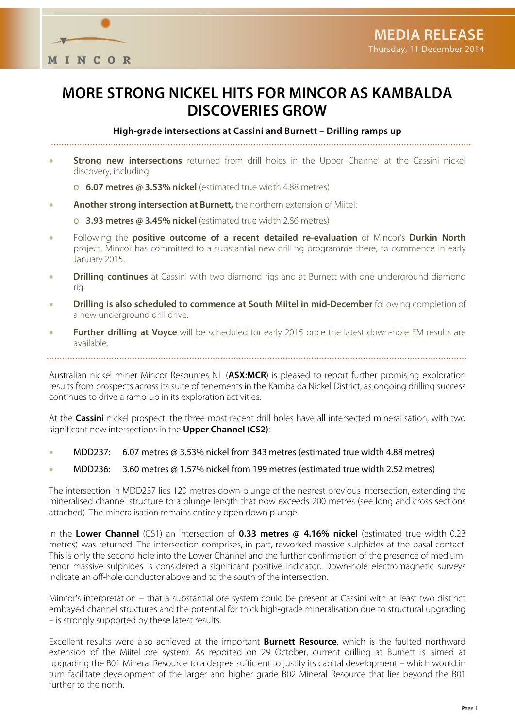

# **MORE STRONG NICKEL HITS FOR MINCOR AS KAMBALDA DISCOVERIES GROW**

**High-grade intersections at Cassini and Burnett – Drilling ramps up**

- **Strong new intersections** returned from drill holes in the Upper Channel at the Cassini nickel discovery, including:
	- o **6.07 metres @ 3.53% nickel** (estimated true width 4.88 metres)
- **Another strong intersection at Burnett,** the northern extension of Miitel:
	- o **3.93 metres @ 3.45% nickel** (estimated true width 2.86 metres)
- Following the **positive outcome of a recent detailed re-evaluation** of Mincor's **Durkin North** project, Mincor has committed to a substantial new drilling programme there, to commence in early January 2015.
- **Drilling continues** at Cassini with two diamond rigs and at Burnett with one underground diamond rig.
- **Drilling is also scheduled to commence at South Miitel in mid-December** following completion of a new underground drill drive.
- **Further drilling at Voyce** will be scheduled for early 2015 once the latest down-hole EM results are available.

Australian nickel miner Mincor Resources NL (**ASX:MCR**) is pleased to report further promising exploration results from prospects across its suite of tenements in the Kambalda Nickel District, as ongoing drilling success continues to drive a ramp-up in its exploration activities.

At the **Cassini** nickel prospect, the three most recent drill holes have all intersected mineralisation, with two significant new intersections in the **Upper Channel (CS2)**:

- MDD237: 6.07 metres @ 3.53% nickel from 343 metres (estimated true width 4.88 metres)
- MDD236: 3.60 metres @ 1.57% nickel from 199 metres (estimated true width 2.52 metres)

The intersection in MDD237 lies 120 metres down-plunge of the nearest previous intersection, extending the mineralised channel structure to a plunge length that now exceeds 200 metres (see long and cross sections attached). The mineralisation remains entirely open down plunge.

In the **Lower Channel** (CS1) an intersection of **0.33 metres @ 4.16% nickel** (estimated true width 0.23 metres) was returned. The intersection comprises, in part, reworked massive sulphides at the basal contact. This is only the second hole into the Lower Channel and the further confirmation of the presence of mediumtenor massive sulphides is considered a significant positive indicator. Down-hole electromagnetic surveys indicate an off-hole conductor above and to the south of the intersection.

Mincor's interpretation – that a substantial ore system could be present at Cassini with at least two distinct embayed channel structures and the potential for thick high-grade mineralisation due to structural upgrading – is strongly supported by these latest results.

Excellent results were also achieved at the important **Burnett Resource**, which is the faulted northward extension of the Miitel ore system. As reported on 29 October, current drilling at Burnett is aimed at upgrading the B01 Mineral Resource to a degree sufficient to justify its capital development – which would in turn facilitate development of the larger and higher grade B02 Mineral Resource that lies beyond the B01 further to the north.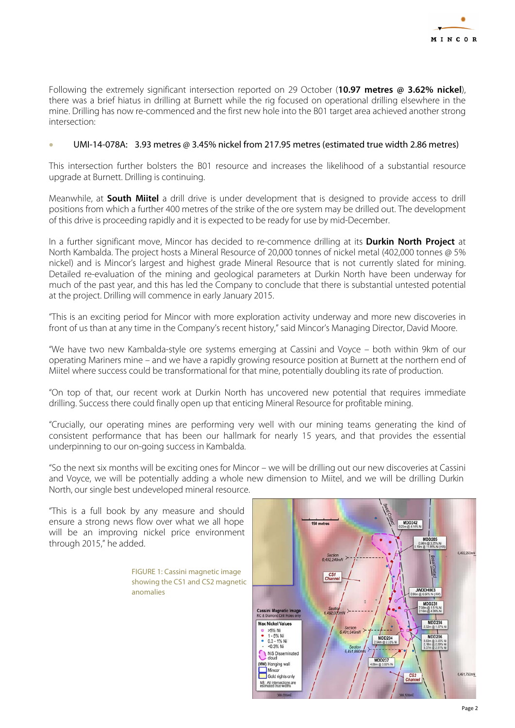

Following the extremely significant intersection reported on 29 October (**10.97 metres @ 3.62% nickel**), there was a brief hiatus in drilling at Burnett while the rig focused on operational drilling elsewhere in the mine. Drilling has now re-commenced and the first new hole into the B01 target area achieved another strong intersection:

#### • UMI-14-078A: 3.93 metres @ 3.45% nickel from 217.95 metres (estimated true width 2.86 metres)

This intersection further bolsters the B01 resource and increases the likelihood of a substantial resource upgrade at Burnett. Drilling is continuing.

Meanwhile, at **South Miitel** a drill drive is under development that is designed to provide access to drill positions from which a further 400 metres of the strike of the ore system may be drilled out. The development of this drive is proceeding rapidly and it is expected to be ready for use by mid-December.

In a further significant move, Mincor has decided to re-commence drilling at its **Durkin North Project** at North Kambalda. The project hosts a Mineral Resource of 20,000 tonnes of nickel metal (402,000 tonnes @ 5% nickel) and is Mincor's largest and highest grade Mineral Resource that is not currently slated for mining. Detailed re-evaluation of the mining and geological parameters at Durkin North have been underway for much of the past year, and this has led the Company to conclude that there is substantial untested potential at the project. Drilling will commence in early January 2015.

"This is an exciting period for Mincor with more exploration activity underway and more new discoveries in front of us than at any time in the Company's recent history," said Mincor's Managing Director, David Moore.

"We have two new Kambalda-style ore systems emerging at Cassini and Voyce – both within 9km of our operating Mariners mine – and we have a rapidly growing resource position at Burnett at the northern end of Miitel where success could be transformational for that mine, potentially doubling its rate of production.

"On top of that, our recent work at Durkin North has uncovered new potential that requires immediate drilling. Success there could finally open up that enticing Mineral Resource for profitable mining.

"Crucially, our operating mines are performing very well with our mining teams generating the kind of consistent performance that has been our hallmark for nearly 15 years, and that provides the essential underpinning to our on-going success in Kambalda.

"So the next six months will be exciting ones for Mincor – we will be drilling out our new discoveries at Cassini and Voyce, we will be potentially adding a whole new dimension to Miitel, and we will be drilling Durkin North, our single best undeveloped mineral resource.

"This is a full book by any measure and should ensure a strong news flow over what we all hope will be an improving nickel price environment through 2015," he added.

> FIGURE 1: Cassini magnetic image showing the CS1 and CS2 magnetic anomalies

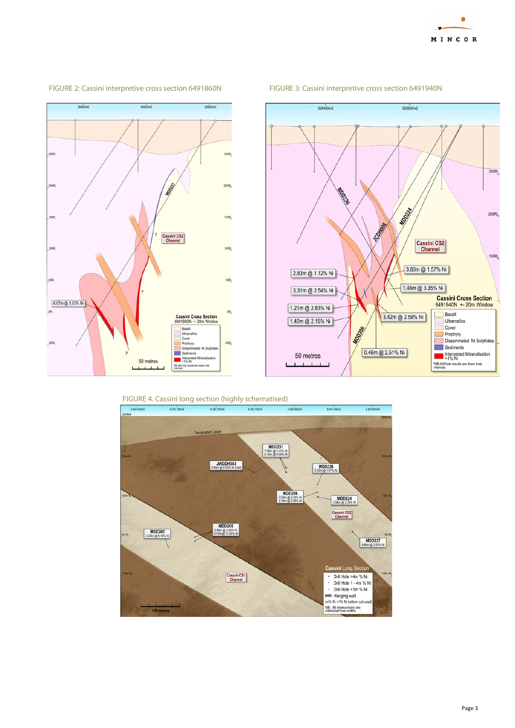



#### FIGURE 2: Cassini interpretive cross section 6491860N FIGURE 3: Cassini interpretive cross section 6491940N

250RL **RIDOUGIO** MODSKA  $200RL$ **SCONSTOR** Cassini CS2<br>Channel  $150RL$ 3.60m @ 1.57% Ni 2.83m @ 1.12% Ni 1.46m @ 3.35% Ni 3.31m @ 2.54% Ni Cassini Cross Section<br>6491940N +-20m Window 1.21m @ 2.83% Ni Basalt 3.42m @ 2.59% Ni 1.40m @ 2.15% Ni Ultramafics MOD206 Cover E  $\blacksquare$  Porphyry

0.46m @ 2.51% Ni

369550mE

369450mE

50 metres

 $1 - 1 = 1$ 



Disseminated Ni Sulphides

Interpreted Mineralisation

"NB drill hole results are down hole<br>intervals

Sediments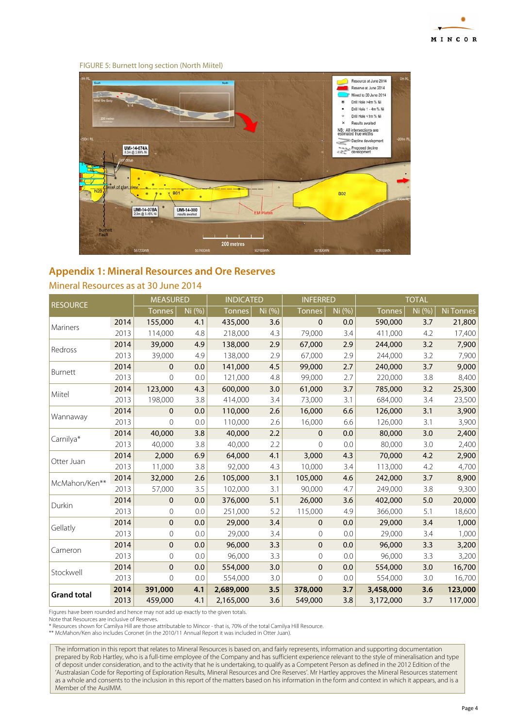

#### FIGURE 5: Burnett long section (North Miitel)



# **Appendix 1: Mineral Resources and Ore Reserves**

### Mineral Resources as at 30 June 2014

|                    |      | <b>MEASURED</b> |        | <b>INDICATED</b> |       |                | <b>INFERRED</b> |               | <b>TOTAL</b> |           |  |
|--------------------|------|-----------------|--------|------------------|-------|----------------|-----------------|---------------|--------------|-----------|--|
| <b>RESOURCE</b>    |      | <b>Tonnes</b>   | Ni (%) | <b>Tonnes</b>    | Ni(%) | <b>Tonnes</b>  | Ni (%)          | <b>Tonnes</b> | Ni (%)       | Ni Tonnes |  |
| Mariners           | 2014 | 155,000         | 4.1    | 435,000          | 3.6   | $\mathbf{0}$   | 0.0             | 590,000       | 3.7          | 21,800    |  |
|                    | 2013 | 114,000         | 4.8    | 218,000          | 4.3   | 79,000         | 3.4             | 411,000       | 4.2          | 17,400    |  |
| Redross            | 2014 | 39,000          | 4.9    | 138,000          | 2.9   | 67,000         | 2.9             | 244,000       | 3.2          | 7,900     |  |
|                    | 2013 | 39,000          | 4.9    | 138,000          | 2.9   | 67,000         | 2.9             | 244,000       | 3.2          | 7,900     |  |
|                    | 2014 | $\pmb{0}$       | 0.0    | 141,000          | 4.5   | 99,000         | 2.7             | 240,000       | 3.7          | 9,000     |  |
| Burnett            | 2013 | $\mathbf 0$     | 0.0    | 121,000          | 4.8   | 99,000         | 2.7             | 220,000       | 3.8          | 8,400     |  |
| Miitel             | 2014 | 123,000         | 4.3    | 600,000          | 3.0   | 61,000         | 3.7             | 785,000       | 3.2          | 25,300    |  |
|                    | 2013 | 198,000         | 3.8    | 414,000          | 3.4   | 73,000         | 3.1             | 684,000       | 3.4          | 23,500    |  |
| Wannaway           | 2014 | $\mathbf 0$     | 0.0    | 110,000          | 2.6   | 16,000         | 6.6             | 126,000       | 3.1          | 3,900     |  |
|                    | 2013 | $\overline{0}$  | 0.0    | 110,000          | 2.6   | 16,000         | 6.6             | 126,000       | 3.1          | 3,900     |  |
| Carnilya*          | 2014 | 40,000          | 3.8    | 40,000           | 2.2   | $\pmb{0}$      | 0.0             | 80,000        | 3.0          | 2,400     |  |
|                    | 2013 | 40,000          | 3.8    | 40,000           | 2.2   | $\mathbf 0$    | 0.0             | 80,000        | 3.0          | 2,400     |  |
|                    | 2014 | 2,000           | 6.9    | 64,000           | 4.1   | 3,000          | 4.3             | 70,000        | 4.2          | 2,900     |  |
| Otter Juan         | 2013 | 11,000          | 3.8    | 92,000           | 4.3   | 10,000         | 3.4             | 113,000       | 4.2          | 4,700     |  |
| McMahon/Ken**      | 2014 | 32,000          | 2.6    | 105,000          | 3.1   | 105,000        | 4.6             | 242,000       | 3.7          | 8,900     |  |
|                    | 2013 | 57,000          | 3.5    | 102,000          | 3.1   | 90,000         | 4.7             | 249,000       | 3.8          | 9,300     |  |
| Durkin             | 2014 | $\pmb{0}$       | 0.0    | 376,000          | 5.1   | 26,000         | 3.6             | 402,000       | 5.0          | 20,000    |  |
|                    | 2013 | $\overline{0}$  | 0.0    | 251,000          | 5.2   | 115,000        | 4.9             | 366,000       | 5.1          | 18,600    |  |
|                    | 2014 | $\mathbf 0$     | 0.0    | 29,000           | 3.4   | $\mathbf{0}$   | 0.0             | 29,000        | 3.4          | 1,000     |  |
| Gellatly           | 2013 | 0               | 0.0    | 29,000           | 3.4   | $\mathbf 0$    | 0.0             | 29,000        | 3.4          | 1,000     |  |
|                    | 2014 | $\pmb{0}$       | 0.0    | 96,000           | 3.3   | $\pmb{0}$      | 0.0             | 96,000        | 3.3          | 3,200     |  |
| Cameron            | 2013 | $\mathbf 0$     | 0.0    | 96,000           | 3.3   | $\mathbf 0$    | 0.0             | 96,000        | 3.3          | 3,200     |  |
|                    | 2014 | $\mathbf{0}$    | 0.0    | 554,000          | 3.0   | 0              | 0.0             | 554,000       | 3.0          | 16,700    |  |
| Stockwell          | 2013 | $\mathbf 0$     | 0.0    | 554,000          | 3.0   | $\overline{0}$ | 0.0             | 554,000       | 3.0          | 16,700    |  |
| <b>Grand total</b> | 2014 | 391,000         | 4.1    | 2,689,000        | 3.5   | 378,000        | 3.7             | 3,458,000     | 3.6          | 123,000   |  |
|                    | 2013 | 459,000         | 4.1    | 2,165,000        | 3.6   | 549,000        | 3.8             | 3,172,000     | 3.7          | 117,000   |  |

Figures have been rounded and hence may not add up exactly to the given totals.

Note that Resources are inclusive of Reserves.

\* Resources shown for Carnilya Hill are those attributable to Mincor - that is, 70% of the total Carnilya Hill Resource. \*\* McMahon/Ken also includes Coronet (in the 2010/11 Annual Report it was included in Otter Juan).

The information in this report that relates to Mineral Resources is based on, and fairly represents, information and supporting documentation prepared by Rob Hartley, who is a full-time employee of the Company and has sufficient experience relevant to the style of mineralisation and type of deposit under consideration, and to the activity that he is undertaking, to qualify as a Competent Person as defined in the 2012 Edition of the 'Australasian Code for Reporting of Exploration Results, Mineral Resources and Ore Reserves'. Mr Hartley approves the Mineral Resources statement as a whole and consents to the inclusion in this report of the matters based on his information in the form and context in which it appears, and is a Member of the AusIMM.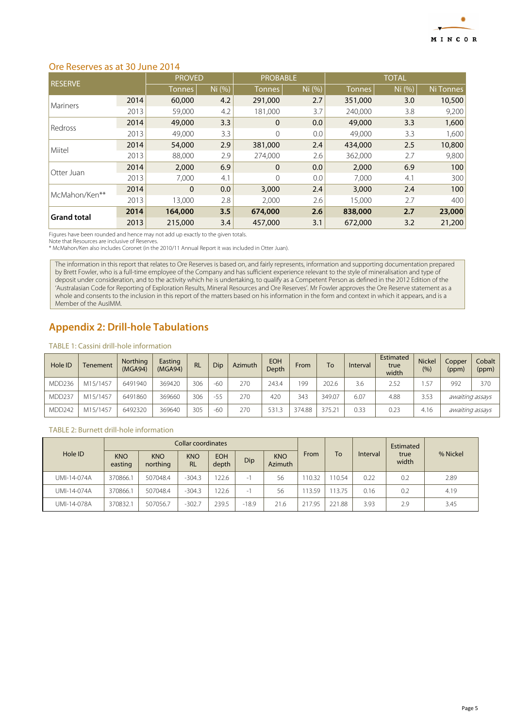

## Ore Reserves as at 30 June 2014

| <b>RESERVE</b>     |      | <b>PROVED</b> |        | <b>PROBABLE</b> |        | <b>TOTAL</b>  |        |           |
|--------------------|------|---------------|--------|-----------------|--------|---------------|--------|-----------|
|                    |      | <b>Tonnes</b> | Ni (%) | <b>Tonnes</b>   | Ni (%) | <b>Tonnes</b> | Ni (%) | Ni Tonnes |
| <b>Mariners</b>    | 2014 | 60,000        | 4.2    | 291,000         | 2.7    | 351,000       | 3.0    | 10,500    |
|                    | 2013 | 59,000        | 4.2    | 181.000         | 3.7    | 240,000       | 3.8    | 9,200     |
| Redross            | 2014 | 49,000        | 3.3    | $\mathbf 0$     | 0.0    | 49,000        | 3.3    | 1,600     |
|                    | 2013 | 49,000        | 3.3    | 0               | 0.0    | 49,000        | 3.3    | 1,600     |
| Miitel             | 2014 | 54,000        | 2.9    | 381,000         | 2.4    | 434,000       | 2.5    | 10,800    |
|                    | 2013 | 88,000        | 2.9    | 274,000         | 2.6    | 362,000       | 2.7    | 9,800     |
| Otter Juan         | 2014 | 2,000         | 6.9    | $\Omega$        | 0.0    | 2,000         | 6.9    | 100       |
|                    | 2013 | 7,000         | 4.1    | $\Omega$        | 0.0    | 7,000         | 4.1    | 300       |
| McMahon/Ken**      | 2014 | $\Omega$      | 0.0    | 3,000           | 2.4    | 3,000         | 2.4    | 100       |
|                    | 2013 | 13,000        | 2.8    | 2,000           | 2.6    | 15,000        | 2.7    | 400       |
| <b>Grand total</b> | 2014 | 164,000       | 3.5    | 674,000         | 2.6    | 838,000       | 2.7    | 23,000    |
|                    | 2013 | 215,000       | 3.4    | 457,000         | 3.1    | 672,000       | 3.2    | 21,200    |

Figures have been rounded and hence may not add up exactly to the given totals. Note that Resources are inclusive of Reserves. \* McMahon/Ken also includes Coronet (in the 2010/11 Annual Report it was included in Otter Juan).

The information in this report that relates to Ore Reserves is based on, and fairly represents, information and supporting documentation prepared by Brett Fowler, who is a full-time employee of the Company and has sufficient experience relevant to the style of mineralisation and type of deposit under consideration, and to the activity which he is undertaking, to qualify as a Competent Person as defined in the 2012 Edition of the 'Australasian Code for Reporting of Exploration Results, Mineral Resources and Ore Reserves'. Mr Fowler approves the Ore Reserve statement as a whole and consents to the inclusion in this report of the matters based on his information in the form and context in which it appears, and is a Member of the AusIMM.

# **Appendix 2: Drill-hole Tabulations**

#### TABLE 1: Cassini drill-hole information

| Hole ID | Tenement | <b>Northing</b><br>(MGA94) | Easting<br>(MGA94) | <b>RL</b> | Dip <sup>1</sup> | Azimuth | <b>EOH</b><br>Depth | From   | <b>To</b> | Interval | Estimated<br>true<br>width | <b>Nickel</b><br>(9/6) | Copper<br>(ppm) | Cobalt<br>(ppm) |
|---------|----------|----------------------------|--------------------|-----------|------------------|---------|---------------------|--------|-----------|----------|----------------------------|------------------------|-----------------|-----------------|
| MDD236  | M15/1457 | 6491940                    | 369420             | 306       | $-60$            | 270     | 243.4               | 199    | 202.6     | 3.6      | 2.52                       | .57                    | 992             | 370             |
| MDD237  | M15/1457 | 6491860                    | 369660             | 306       | $-55$            | 270     | 420                 | 343    | 349.07    | 6.07     | 4.88                       | 3.53                   | awaiting assays |                 |
| MDD242  | M15/1457 | 6492320                    | 369640             | 305       | $-60$            | 270     | 531.3               | 374.88 | 375.21    | 0.33     | 0.23                       | 4.16                   | awaiting assays |                 |

#### TABLE 2: Burnett drill-hole information

|             |                       |                        | Collar coordinates      |                     |         |                              | Estimated |        |          |               |          |
|-------------|-----------------------|------------------------|-------------------------|---------------------|---------|------------------------------|-----------|--------|----------|---------------|----------|
| Hole ID     | <b>KNO</b><br>easting | <b>KNO</b><br>northing | <b>KNO</b><br><b>RL</b> | <b>EOH</b><br>depth | Dip     | <b>KNO</b><br><b>Azimuth</b> | From      | To     | Interval | true<br>width | % Nickel |
| UMI-14-074A | 370866.1              | 507048.4               | $-304.3$                | 22.6                | -       | 56                           | 10.32     | 10.54  | 0.22     | 0.2           | 2.89     |
| UMI-14-074A | 370866.1              | 507048.4               | $-304.3$                | 22.6                | - 1     | 56                           | 13.59     | 13.75  | 0.16     | 0.2           | 4.19     |
| UMI-14-078A | 370832.1              | 507056.7               | $-302.7$                | 239.5               | $-18.9$ | 21.6                         | 217.95    | 221.88 | 3.93     | 2.9           | 3.45     |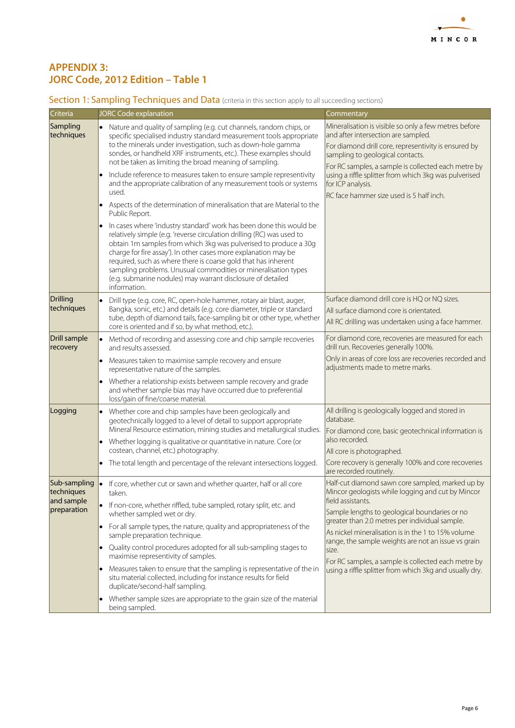

## **APPENDIX 3: JORC Code, 2012 Edition – Table 1**

## Section 1: Sampling Techniques and Data (criteria in this section apply to all succeeding sections)

|                                                         | <b>JORC Code explanation</b>                                                                                                                                                                                                                                                                                                                                                                                                                                                                                                                                                                                                                                                                                                                                                                                                                                                                                                                                                                                                                                                                                           |                                                                                                                                                                                                                                                                                                                                                                                                                                                                       |
|---------------------------------------------------------|------------------------------------------------------------------------------------------------------------------------------------------------------------------------------------------------------------------------------------------------------------------------------------------------------------------------------------------------------------------------------------------------------------------------------------------------------------------------------------------------------------------------------------------------------------------------------------------------------------------------------------------------------------------------------------------------------------------------------------------------------------------------------------------------------------------------------------------------------------------------------------------------------------------------------------------------------------------------------------------------------------------------------------------------------------------------------------------------------------------------|-----------------------------------------------------------------------------------------------------------------------------------------------------------------------------------------------------------------------------------------------------------------------------------------------------------------------------------------------------------------------------------------------------------------------------------------------------------------------|
| Criteria<br>Sampling<br>techniques                      | • Nature and quality of sampling (e.g. cut channels, random chips, or<br>specific specialised industry standard measurement tools appropriate<br>to the minerals under investigation, such as down-hole gamma<br>sondes, or handheld XRF instruments, etc.). These examples should<br>not be taken as limiting the broad meaning of sampling.<br>Include reference to measures taken to ensure sample representivity<br>and the appropriate calibration of any measurement tools or systems<br>used.<br>Aspects of the determination of mineralisation that are Material to the<br>$\bullet$<br>Public Report.<br>In cases where 'industry standard' work has been done this would be<br>$\bullet$<br>relatively simple (e.g. 'reverse circulation drilling (RC) was used to<br>obtain 1m samples from which 3kg was pulverised to produce a 30g<br>charge for fire assay'). In other cases more explanation may be<br>required, such as where there is coarse gold that has inherent<br>sampling problems. Unusual commodities or mineralisation types<br>(e.g. submarine nodules) may warrant disclosure of detailed | Commentary<br>Mineralisation is visible so only a few metres before<br>and after intersection are sampled.<br>For diamond drill core, representivity is ensured by<br>sampling to geological contacts.<br>For RC samples, a sample is collected each metre by<br>using a riffle splitter from which 3kg was pulverised<br>for ICP analysis.<br>RC face hammer size used is 5 half inch.                                                                               |
| Drilling<br>techniques                                  | information.<br>Drill type (e.g. core, RC, open-hole hammer, rotary air blast, auger,<br>Bangka, sonic, etc.) and details (e.g. core diameter, triple or standard<br>tube, depth of diamond tails, face-sampling bit or other type, whether<br>core is oriented and if so, by what method, etc.).                                                                                                                                                                                                                                                                                                                                                                                                                                                                                                                                                                                                                                                                                                                                                                                                                      | Surface diamond drill core is HQ or NQ sizes.<br>All surface diamond core is orientated.<br>All RC drilling was undertaken using a face hammer.                                                                                                                                                                                                                                                                                                                       |
| <b>Drill sample</b><br>recovery                         | Method of recording and assessing core and chip sample recoveries<br>$\bullet$<br>and results assessed.<br>Measures taken to maximise sample recovery and ensure<br>$\bullet$<br>representative nature of the samples.<br>Whether a relationship exists between sample recovery and grade<br>$\bullet$<br>and whether sample bias may have occurred due to preferential                                                                                                                                                                                                                                                                                                                                                                                                                                                                                                                                                                                                                                                                                                                                                | For diamond core, recoveries are measured for each<br>drill run. Recoveries generally 100%.<br>Only in areas of core loss are recoveries recorded and<br>adjustments made to metre marks.                                                                                                                                                                                                                                                                             |
| Logging                                                 | loss/gain of fine/coarse material.<br>• Whether core and chip samples have been geologically and<br>geotechnically logged to a level of detail to support appropriate<br>Mineral Resource estimation, mining studies and metallurgical studies.<br>• Whether logging is qualitative or quantitative in nature. Core (or<br>costean, channel, etc.) photography.<br>• The total length and percentage of the relevant intersections logged.                                                                                                                                                                                                                                                                                                                                                                                                                                                                                                                                                                                                                                                                             | All drilling is geologically logged and stored in<br>database.<br>For diamond core, basic geotechnical information is<br>also recorded.<br>All core is photographed.<br>Core recovery is generally 100% and core recoveries<br>are recorded routinely.                                                                                                                                                                                                                |
| Sub-sampling<br>techniques<br>and sample<br>preparation | • If core, whether cut or sawn and whether quarter, half or all core<br>taken.<br>If non-core, whether riffled, tube sampled, rotary split, etc. and<br>whether sampled wet or dry.<br>For all sample types, the nature, quality and appropriateness of the<br>(●)<br>sample preparation technique.<br>Quality control procedures adopted for all sub-sampling stages to<br>$\bullet$<br>maximise representivity of samples.<br>Measures taken to ensure that the sampling is representative of the in<br>situ material collected, including for instance results for field<br>duplicate/second-half sampling.<br>Whether sample sizes are appropriate to the grain size of the material<br>$\bullet$<br>being sampled.                                                                                                                                                                                                                                                                                                                                                                                                | Half-cut diamond sawn core sampled, marked up by<br>Mincor geologists while logging and cut by Mincor<br>field assistants.<br>Sample lengths to geological boundaries or no<br>greater than 2.0 metres per individual sample.<br>As nickel mineralisation is in the 1 to 15% volume<br>range, the sample weights are not an issue vs grain<br>size.<br>For RC samples, a sample is collected each metre by<br>using a riffle splitter from which 3kg and usually dry. |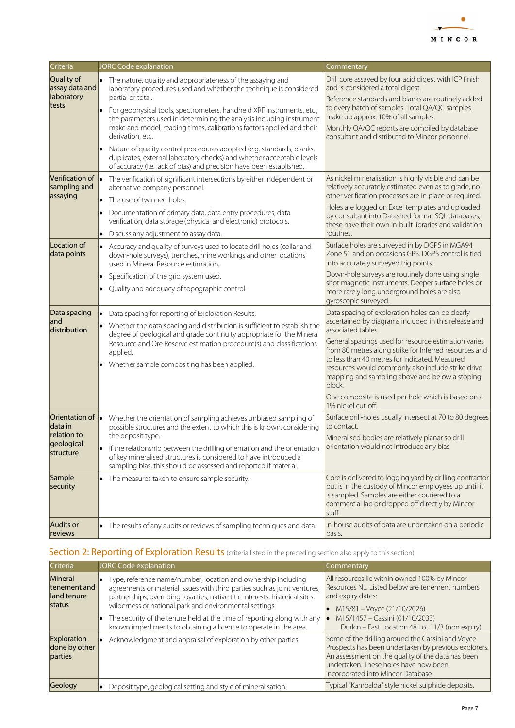

| Criteria                                                                      | <b>JORC Code explanation</b>                                                                                                                                                                                                                                                                                                                                                                                                                                                                                                                                                                                                                  | Commentary                                                                                                                                                                                                                                                                                                                                                                                                                                                                                       |
|-------------------------------------------------------------------------------|-----------------------------------------------------------------------------------------------------------------------------------------------------------------------------------------------------------------------------------------------------------------------------------------------------------------------------------------------------------------------------------------------------------------------------------------------------------------------------------------------------------------------------------------------------------------------------------------------------------------------------------------------|--------------------------------------------------------------------------------------------------------------------------------------------------------------------------------------------------------------------------------------------------------------------------------------------------------------------------------------------------------------------------------------------------------------------------------------------------------------------------------------------------|
| Quality of<br>assay data and<br>laboratory<br>tests                           | • The nature, quality and appropriateness of the assaying and<br>laboratory procedures used and whether the technique is considered<br>partial or total.<br>For geophysical tools, spectrometers, handheld XRF instruments, etc.,<br>$\bullet$<br>the parameters used in determining the analysis including instrument<br>make and model, reading times, calibrations factors applied and their<br>derivation, etc.<br>Nature of quality control procedures adopted (e.g. standards, blanks,<br>duplicates, external laboratory checks) and whether acceptable levels<br>of accuracy (i.e. lack of bias) and precision have been established. | Drill core assayed by four acid digest with ICP finish<br>and is considered a total digest.<br>Reference standards and blanks are routinely added<br>to every batch of samples. Total QA/QC samples<br>make up approx. 10% of all samples.<br>Monthly QA/QC reports are compiled by database<br>consultant and distributed to Mincor personnel.                                                                                                                                                  |
| Verification of <b>.</b><br>sampling and<br>assaying                          | The verification of significant intersections by either independent or<br>alternative company personnel.<br>The use of twinned holes.<br>$\bullet$<br>Documentation of primary data, data entry procedures, data<br>verification, data storage (physical and electronic) protocols.<br>Discuss any adjustment to assay data.                                                                                                                                                                                                                                                                                                                  | As nickel mineralisation is highly visible and can be<br>relatively accurately estimated even as to grade, no<br>other verification processes are in place or required.<br>Holes are logged on Excel templates and uploaded<br>by consultant into Datashed format SQL databases;<br>these have their own in-built libraries and validation<br>routines.                                                                                                                                          |
| Location of<br>data points                                                    | Accuracy and quality of surveys used to locate drill holes (collar and<br>$\bullet$<br>down-hole surveys), trenches, mine workings and other locations<br>used in Mineral Resource estimation.<br>Specification of the grid system used.<br>$\bullet$<br>Quality and adequacy of topographic control.                                                                                                                                                                                                                                                                                                                                         | Surface holes are surveyed in by DGPS in MGA94<br>Zone 51 and on occasions GPS. DGPS control is tied<br>into accurately surveyed trig points.<br>Down-hole surveys are routinely done using single<br>shot magnetic instruments. Deeper surface holes or<br>more rarely long underground holes are also<br>gyroscopic surveyed.                                                                                                                                                                  |
| Data spacing<br>and<br>distribution                                           | Data spacing for reporting of Exploration Results.<br>Whether the data spacing and distribution is sufficient to establish the<br>degree of geological and grade continuity appropriate for the Mineral<br>Resource and Ore Reserve estimation procedure(s) and classifications<br>applied.<br>Whether sample compositing has been applied.                                                                                                                                                                                                                                                                                                   | Data spacing of exploration holes can be clearly<br>ascertained by diagrams included in this release and<br>associated tables.<br>General spacings used for resource estimation varies<br>from 80 metres along strike for Inferred resources and<br>to less than 40 metres for Indicated. Measured<br>resources would commonly also include strike drive<br>mapping and sampling above and below a stoping<br>block.<br>One composite is used per hole which is based on a<br>1% nickel cut-off. |
| Orientation of $\vert$ .<br>data in<br>relation to<br>geological<br>structure | Whether the orientation of sampling achieves unbiased sampling of<br>possible structures and the extent to which this is known, considering<br>the deposit type.<br>If the relationship between the drilling orientation and the orientation<br>٠<br>of key mineralised structures is considered to have introduced a<br>sampling bias, this should be assessed and reported if material.                                                                                                                                                                                                                                                     | Surface drill-holes usually intersect at 70 to 80 degrees<br>to contact.<br>Mineralised bodies are relatively planar so drill<br>orientation would not introduce any bias.                                                                                                                                                                                                                                                                                                                       |
| Sample<br>security                                                            | • The measures taken to ensure sample security.                                                                                                                                                                                                                                                                                                                                                                                                                                                                                                                                                                                               | Core is delivered to logging yard by drilling contractor<br>but is in the custody of Mincor employees up until it<br>is sampled. Samples are either couriered to a<br>commercial lab or dropped off directly by Mincor<br>staff.                                                                                                                                                                                                                                                                 |
| <b>Audits or</b><br>reviews                                                   | • The results of any audits or reviews of sampling techniques and data.                                                                                                                                                                                                                                                                                                                                                                                                                                                                                                                                                                       | In-house audits of data are undertaken on a periodic<br>basis.                                                                                                                                                                                                                                                                                                                                                                                                                                   |

# Section 2: Reporting of Exploration Results (criteria listed in the preceding section also apply to this section)

| Criteria                                         | <b>JORC Code explanation</b>                                                                                                                                                                                                                                                          | Commentary                                                                                                                                                                                                                                   |
|--------------------------------------------------|---------------------------------------------------------------------------------------------------------------------------------------------------------------------------------------------------------------------------------------------------------------------------------------|----------------------------------------------------------------------------------------------------------------------------------------------------------------------------------------------------------------------------------------------|
| Mineral<br>tenement and<br>land tenure<br>status | Type, reference name/number, location and ownership including<br>agreements or material issues with third parties such as joint ventures,<br>partnerships, overriding royalties, native title interests, historical sites,<br>wilderness or national park and environmental settings. | All resources lie within owned 100% by Mincor<br>Resources NL. Listed below are tenement numbers<br>and expiry dates:<br>M15/81 - Voyce (21/10/2026)                                                                                         |
|                                                  | The security of the tenure held at the time of reporting along with any<br>known impediments to obtaining a licence to operate in the area.                                                                                                                                           | M15/1457 - Cassini (01/10/2033)<br>Durkin - East Location 48 Lot 11/3 (non expiry)                                                                                                                                                           |
| Exploration<br>done by other<br>parties          | Acknowledgment and appraisal of exploration by other parties.                                                                                                                                                                                                                         | Some of the drilling around the Cassini and Voyce<br>Prospects has been undertaken by previous explorers.<br>An assessment on the quality of the data has been<br>undertaken. These holes have now been<br>incorporated into Mincor Database |
| Geology                                          | Deposit type, geological setting and style of mineralisation.                                                                                                                                                                                                                         | Typical "Kambalda" style nickel sulphide deposits.                                                                                                                                                                                           |